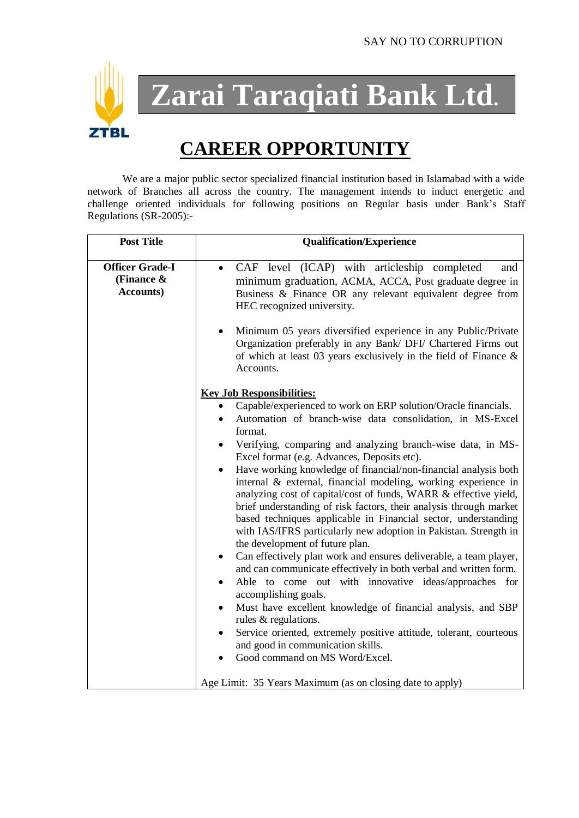

**Zarai Taraqiati Bank Ltd.**

# **CAREER OPPORTUNITY**

We are a major public sector specialized financial institution based in Islamabad with a wide network of Branches all across the country. The management intends to induct energetic and challenge oriented individuals for following positions on Regular basis under Bank's Staff Regulations (SR-2005):-

| <b>Post Title</b>                                           | <b>Qualification/Experience</b>                                                                                                                                                                                                                                                                                                                                                                                                                                   |
|-------------------------------------------------------------|-------------------------------------------------------------------------------------------------------------------------------------------------------------------------------------------------------------------------------------------------------------------------------------------------------------------------------------------------------------------------------------------------------------------------------------------------------------------|
| <b>Officer Grade-I</b><br>(Finance $\&$<br><b>Accounts)</b> | CAF level (ICAP) with articleship completed<br>and<br>$\bullet$<br>minimum graduation, ACMA, ACCA, Post graduate degree in<br>Business & Finance OR any relevant equivalent degree from<br>HEC recognized university.                                                                                                                                                                                                                                             |
|                                                             | Minimum 05 years diversified experience in any Public/Private<br>Organization preferably in any Bank/ DFI/ Chartered Firms out<br>of which at least 03 years exclusively in the field of Finance $\&$<br>Accounts.                                                                                                                                                                                                                                                |
|                                                             | <b>Key Job Responsibilities:</b>                                                                                                                                                                                                                                                                                                                                                                                                                                  |
|                                                             | Capable/experienced to work on ERP solution/Oracle financials.<br>Automation of branch-wise data consolidation, in MS-Excel<br>format.                                                                                                                                                                                                                                                                                                                            |
|                                                             | Verifying, comparing and analyzing branch-wise data, in MS-<br>Excel format (e.g. Advances, Deposits etc).                                                                                                                                                                                                                                                                                                                                                        |
|                                                             | Have working knowledge of financial/non-financial analysis both<br>$\bullet$<br>internal & external, financial modeling, working experience in<br>analyzing cost of capital/cost of funds, WARR & effective yield,<br>brief understanding of risk factors, their analysis through market<br>based techniques applicable in Financial sector, understanding<br>with IAS/IFRS particularly new adoption in Pakistan. Strength in<br>the development of future plan. |
|                                                             | Can effectively plan work and ensures deliverable, a team player,<br>$\bullet$<br>and can communicate effectively in both verbal and written form.                                                                                                                                                                                                                                                                                                                |
|                                                             | Able to come out with innovative ideas/approaches for<br>$\bullet$<br>accomplishing goals.                                                                                                                                                                                                                                                                                                                                                                        |
|                                                             | Must have excellent knowledge of financial analysis, and SBP<br>rules & regulations.                                                                                                                                                                                                                                                                                                                                                                              |
|                                                             | Service oriented, extremely positive attitude, tolerant, courteous<br>$\bullet$<br>and good in communication skills.                                                                                                                                                                                                                                                                                                                                              |
|                                                             | Good command on MS Word/Excel.                                                                                                                                                                                                                                                                                                                                                                                                                                    |
|                                                             | Age Limit: 35 Years Maximum (as on closing date to apply)                                                                                                                                                                                                                                                                                                                                                                                                         |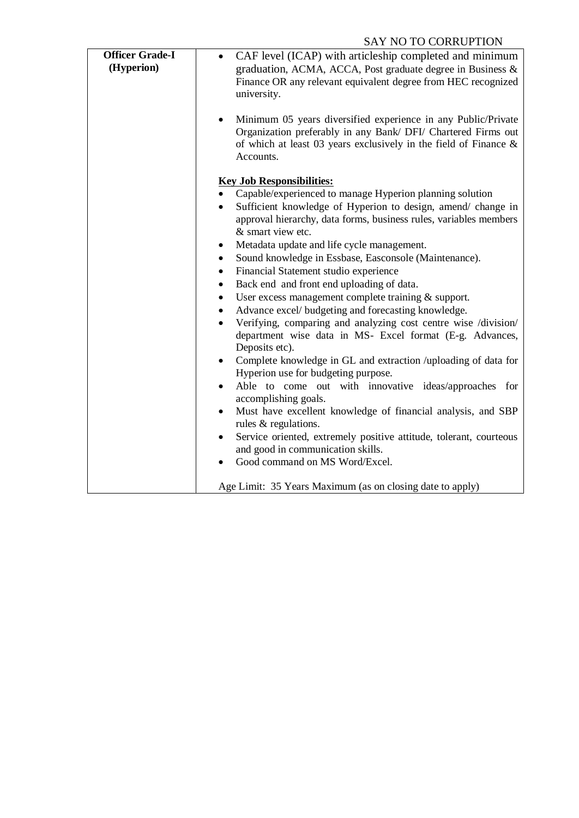## SAY NO TO CORRUPTION

| <b>Officer Grade-I</b><br>(Hyperion) | CAF level (ICAP) with articleship completed and minimum<br>graduation, ACMA, ACCA, Post graduate degree in Business &<br>Finance OR any relevant equivalent degree from HEC recognized<br>university.<br>Minimum 05 years diversified experience in any Public/Private<br>$\bullet$<br>Organization preferably in any Bank/ DFI/ Chartered Firms out<br>of which at least 03 years exclusively in the field of Finance $\&$<br>Accounts.                                                                                                                                                                                                                                                                                                                                                                                                                                                                                                                                                                                                                                                                                                                                                                                                                                             |
|--------------------------------------|--------------------------------------------------------------------------------------------------------------------------------------------------------------------------------------------------------------------------------------------------------------------------------------------------------------------------------------------------------------------------------------------------------------------------------------------------------------------------------------------------------------------------------------------------------------------------------------------------------------------------------------------------------------------------------------------------------------------------------------------------------------------------------------------------------------------------------------------------------------------------------------------------------------------------------------------------------------------------------------------------------------------------------------------------------------------------------------------------------------------------------------------------------------------------------------------------------------------------------------------------------------------------------------|
|                                      | <b>Key Job Responsibilities:</b><br>Capable/experienced to manage Hyperion planning solution<br>$\bullet$<br>Sufficient knowledge of Hyperion to design, amend/ change in<br>$\bullet$<br>approval hierarchy, data forms, business rules, variables members<br>& smart view etc.<br>Metadata update and life cycle management.<br>٠<br>Sound knowledge in Essbase, Easconsole (Maintenance).<br>$\bullet$<br>Financial Statement studio experience<br>٠<br>Back end and front end uploading of data.<br>$\bullet$<br>User excess management complete training & support.<br>$\bullet$<br>Advance excel/ budgeting and forecasting knowledge.<br>$\bullet$<br>Verifying, comparing and analyzing cost centre wise /division/<br>٠<br>department wise data in MS- Excel format (E-g. Advances,<br>Deposits etc).<br>Complete knowledge in GL and extraction /uploading of data for<br>$\bullet$<br>Hyperion use for budgeting purpose.<br>Able to come out with innovative ideas/approaches for<br>$\bullet$<br>accomplishing goals.<br>Must have excellent knowledge of financial analysis, and SBP<br>rules & regulations.<br>Service oriented, extremely positive attitude, tolerant, courteous<br>$\bullet$<br>and good in communication skills.<br>Good command on MS Word/Excel. |
|                                      | Age Limit: 35 Years Maximum (as on closing date to apply)                                                                                                                                                                                                                                                                                                                                                                                                                                                                                                                                                                                                                                                                                                                                                                                                                                                                                                                                                                                                                                                                                                                                                                                                                            |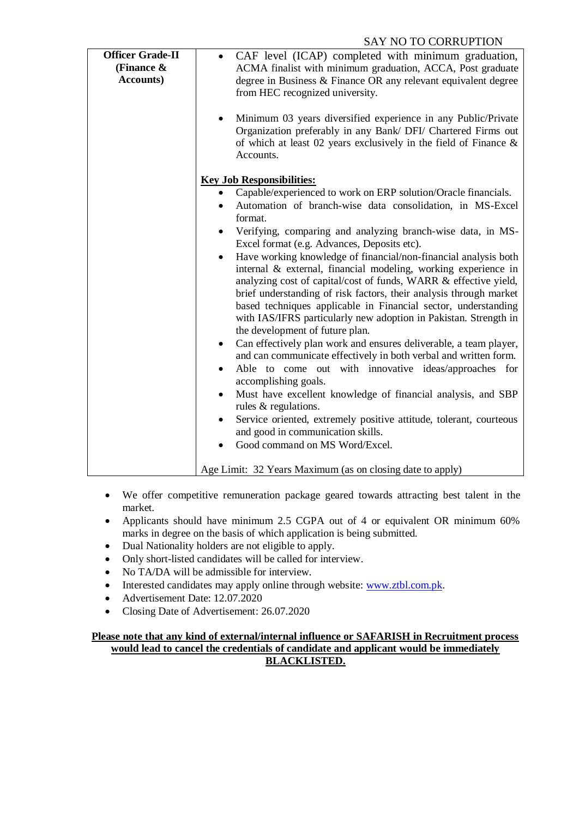### SAY NO TO CORRUPTION

| <b>Officer Grade-II</b><br>(Finance $\&$<br><b>Accounts</b> ) | CAF level (ICAP) completed with minimum graduation,<br>ACMA finalist with minimum graduation, ACCA, Post graduate<br>degree in Business & Finance OR any relevant equivalent degree<br>from HEC recognized university.<br>Minimum 03 years diversified experience in any Public/Private<br>$\bullet$<br>Organization preferably in any Bank/ DFI/ Chartered Firms out<br>of which at least 02 years exclusively in the field of Finance $\&$<br>Accounts.                                                                                                                                                                                                                                                                                                                                                                                                                                                                                                                                                                                                                                                                                                                                                                                                                                                                                               |
|---------------------------------------------------------------|---------------------------------------------------------------------------------------------------------------------------------------------------------------------------------------------------------------------------------------------------------------------------------------------------------------------------------------------------------------------------------------------------------------------------------------------------------------------------------------------------------------------------------------------------------------------------------------------------------------------------------------------------------------------------------------------------------------------------------------------------------------------------------------------------------------------------------------------------------------------------------------------------------------------------------------------------------------------------------------------------------------------------------------------------------------------------------------------------------------------------------------------------------------------------------------------------------------------------------------------------------------------------------------------------------------------------------------------------------|
|                                                               | <b>Key Job Responsibilities:</b><br>Capable/experienced to work on ERP solution/Oracle financials.<br>Automation of branch-wise data consolidation, in MS-Excel<br>$\bullet$<br>format.<br>Verifying, comparing and analyzing branch-wise data, in MS-<br>٠<br>Excel format (e.g. Advances, Deposits etc).<br>Have working knowledge of financial/non-financial analysis both<br>$\bullet$<br>internal & external, financial modeling, working experience in<br>analyzing cost of capital/cost of funds, WARR & effective yield,<br>brief understanding of risk factors, their analysis through market<br>based techniques applicable in Financial sector, understanding<br>with IAS/IFRS particularly new adoption in Pakistan. Strength in<br>the development of future plan.<br>Can effectively plan work and ensures deliverable, a team player,<br>$\bullet$<br>and can communicate effectively in both verbal and written form.<br>Able to come out with innovative ideas/approaches for<br>$\bullet$<br>accomplishing goals.<br>Must have excellent knowledge of financial analysis, and SBP<br>$\bullet$<br>rules & regulations.<br>Service oriented, extremely positive attitude, tolerant, courteous<br>٠<br>and good in communication skills.<br>Good command on MS Word/Excel.<br>Age Limit: 32 Years Maximum (as on closing date to apply) |

- We offer competitive remuneration package geared towards attracting best talent in the market.
- Applicants should have minimum 2.5 CGPA out of 4 or equivalent OR minimum 60% marks in degree on the basis of which application is being submitted.
- Dual Nationality holders are not eligible to apply.
- Only short-listed candidates will be called for interview.
- No TA/DA will be admissible for interview.
- Interested candidates may apply online through website: [www.ztbl.com.pk.](http://www.ztbl.com.pk/)
- Advertisement Date: 12.07.2020
- Closing Date of Advertisement: 26.07.2020

#### **Please note that any kind of external/internal influence or SAFARISH in Recruitment process would lead to cancel the credentials of candidate and applicant would be immediately BLACKLISTED.**